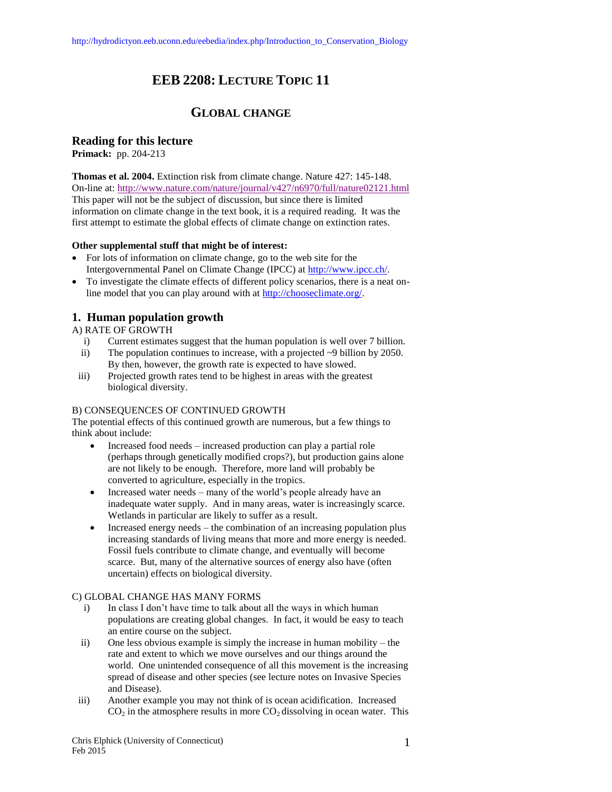# **EEB 2208: LECTURE TOPIC 11**

# **GLOBAL CHANGE**

## **Reading for this lecture**

**Primack:** pp. 204-213

**Thomas et al. 2004.** Extinction risk from climate change. Nature 427: 145-148. On-line at:<http://www.nature.com/nature/journal/v427/n6970/full/nature02121.html> This paper will not be the subject of discussion, but since there is limited information on climate change in the text book, it is a required reading. It was the first attempt to estimate the global effects of climate change on extinction rates.

#### **Other supplemental stuff that might be of interest:**

- For lots of information on climate change, go to the web site for the Intergovernmental Panel on Climate Change (IPCC) at [http://www.ipcc.ch/.](http://www.ipcc.ch/)
- To investigate the climate effects of different policy scenarios, there is a neat online model that you can play around with at [http://chooseclimate.org/.](http://chooseclimate.org/)

# **1. Human population growth**

A) RATE OF GROWTH

- i) Current estimates suggest that the human population is well over 7 billion.
- ii) The population continues to increase, with a projected  $\sim$ 9 billion by 2050. By then, however, the growth rate is expected to have slowed.
- iii) Projected growth rates tend to be highest in areas with the greatest biological diversity.

#### B) CONSEQUENCES OF CONTINUED GROWTH

The potential effects of this continued growth are numerous, but a few things to think about include:

- Increased food needs increased production can play a partial role (perhaps through genetically modified crops?), but production gains alone are not likely to be enough. Therefore, more land will probably be converted to agriculture, especially in the tropics.
- Increased water needs many of the world's people already have an inadequate water supply. And in many areas, water is increasingly scarce. Wetlands in particular are likely to suffer as a result.
- Increased energy needs the combination of an increasing population plus increasing standards of living means that more and more energy is needed. Fossil fuels contribute to climate change, and eventually will become scarce. But, many of the alternative sources of energy also have (often uncertain) effects on biological diversity.

#### C) GLOBAL CHANGE HAS MANY FORMS

- i) In class I don't have time to talk about all the ways in which human populations are creating global changes. In fact, it would be easy to teach an entire course on the subject.
- ii) One less obvious example is simply the increase in human mobility the rate and extent to which we move ourselves and our things around the world. One unintended consequence of all this movement is the increasing spread of disease and other species (see lecture notes on Invasive Species and Disease).
- iii) Another example you may not think of is ocean acidification. Increased  $CO<sub>2</sub>$  in the atmosphere results in more  $CO<sub>2</sub>$  dissolving in ocean water. This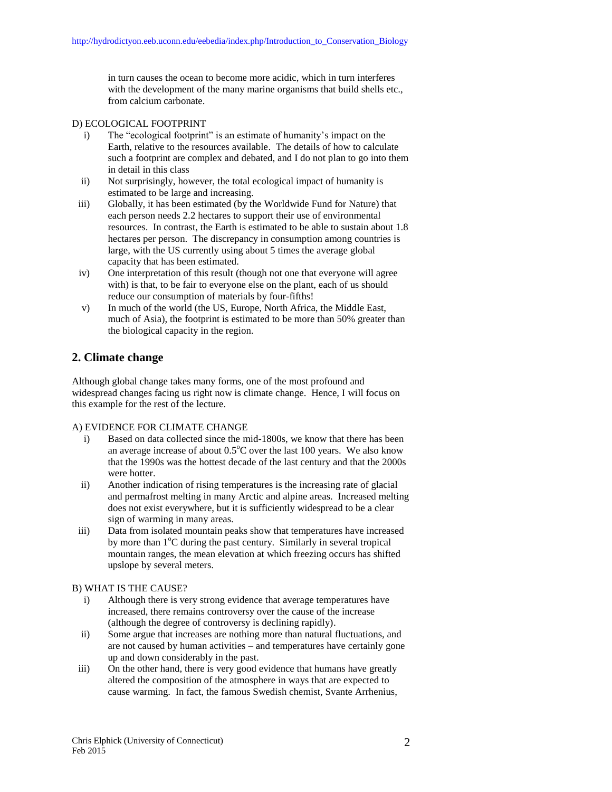in turn causes the ocean to become more acidic, which in turn interferes with the development of the many marine organisms that build shells etc., from calcium carbonate.

#### D) ECOLOGICAL FOOTPRINT

- i) The "ecological footprint" is an estimate of humanity's impact on the Earth, relative to the resources available. The details of how to calculate such a footprint are complex and debated, and I do not plan to go into them in detail in this class
- ii) Not surprisingly, however, the total ecological impact of humanity is estimated to be large and increasing.
- iii) Globally, it has been estimated (by the Worldwide Fund for Nature) that each person needs 2.2 hectares to support their use of environmental resources. In contrast, the Earth is estimated to be able to sustain about 1.8 hectares per person. The discrepancy in consumption among countries is large, with the US currently using about 5 times the average global capacity that has been estimated.
- iv) One interpretation of this result (though not one that everyone will agree with) is that, to be fair to everyone else on the plant, each of us should reduce our consumption of materials by four-fifths!
- v) In much of the world (the US, Europe, North Africa, the Middle East, much of Asia), the footprint is estimated to be more than 50% greater than the biological capacity in the region.

## **2. Climate change**

Although global change takes many forms, one of the most profound and widespread changes facing us right now is climate change. Hence, I will focus on this example for the rest of the lecture.

#### A) EVIDENCE FOR CLIMATE CHANGE

- i) Based on data collected since the mid-1800s, we know that there has been an average increase of about  $0.5^{\circ}$ C over the last 100 years. We also know that the 1990s was the hottest decade of the last century and that the 2000s were hotter.
- ii) Another indication of rising temperatures is the increasing rate of glacial and permafrost melting in many Arctic and alpine areas. Increased melting does not exist everywhere, but it is sufficiently widespread to be a clear sign of warming in many areas.
- iii) Data from isolated mountain peaks show that temperatures have increased by more than  $1^{\circ}$ C during the past century. Similarly in several tropical mountain ranges, the mean elevation at which freezing occurs has shifted upslope by several meters.

#### B) WHAT IS THE CAUSE?

- i) Although there is very strong evidence that average temperatures have increased, there remains controversy over the cause of the increase (although the degree of controversy is declining rapidly).
- ii) Some argue that increases are nothing more than natural fluctuations, and are not caused by human activities – and temperatures have certainly gone up and down considerably in the past.
- iii) On the other hand, there is very good evidence that humans have greatly altered the composition of the atmosphere in ways that are expected to cause warming. In fact, the famous Swedish chemist, Svante Arrhenius,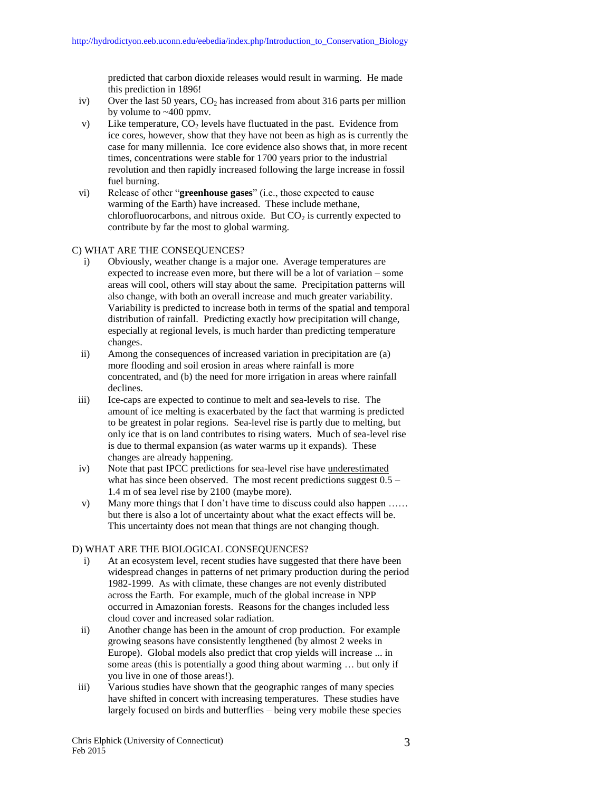predicted that carbon dioxide releases would result in warming. He made this prediction in 1896!

- iv) Over the last 50 years,  $CO<sub>2</sub>$  has increased from about 316 parts per million by volume to ~400 ppmv.
- v) Like temperature,  $CO<sub>2</sub>$  levels have fluctuated in the past. Evidence from ice cores, however, show that they have not been as high as is currently the case for many millennia. Ice core evidence also shows that, in more recent times, concentrations were stable for 1700 years prior to the industrial revolution and then rapidly increased following the large increase in fossil fuel burning.
- vi) Release of other "**greenhouse gases**" (i.e., those expected to cause warming of the Earth) have increased. These include methane, chlorofluorocarbons, and nitrous oxide. But  $CO<sub>2</sub>$  is currently expected to contribute by far the most to global warming.

#### C) WHAT ARE THE CONSEQUENCES?

- i) Obviously, weather change is a major one. Average temperatures are expected to increase even more, but there will be a lot of variation – some areas will cool, others will stay about the same. Precipitation patterns will also change, with both an overall increase and much greater variability. Variability is predicted to increase both in terms of the spatial and temporal distribution of rainfall. Predicting exactly how precipitation will change, especially at regional levels, is much harder than predicting temperature changes.
- ii) Among the consequences of increased variation in precipitation are (a) more flooding and soil erosion in areas where rainfall is more concentrated, and (b) the need for more irrigation in areas where rainfall declines.
- iii) Ice-caps are expected to continue to melt and sea-levels to rise. The amount of ice melting is exacerbated by the fact that warming is predicted to be greatest in polar regions. Sea-level rise is partly due to melting, but only ice that is on land contributes to rising waters. Much of sea-level rise is due to thermal expansion (as water warms up it expands). These changes are already happening.
- iv) Note that past IPCC predictions for sea-level rise have underestimated what has since been observed. The most recent predictions suggest  $0.5 -$ 1.4 m of sea level rise by 2100 (maybe more).
- v) Many more things that I don't have time to discuss could also happen …… but there is also a lot of uncertainty about what the exact effects will be. This uncertainty does not mean that things are not changing though.

#### D) WHAT ARE THE BIOLOGICAL CONSEQUENCES?

- i) At an ecosystem level, recent studies have suggested that there have been widespread changes in patterns of net primary production during the period 1982-1999. As with climate, these changes are not evenly distributed across the Earth. For example, much of the global increase in NPP occurred in Amazonian forests. Reasons for the changes included less cloud cover and increased solar radiation.
- ii) Another change has been in the amount of crop production. For example growing seasons have consistently lengthened (by almost 2 weeks in Europe). Global models also predict that crop yields will increase ... in some areas (this is potentially a good thing about warming … but only if you live in one of those areas!).
- iii) Various studies have shown that the geographic ranges of many species have shifted in concert with increasing temperatures. These studies have largely focused on birds and butterflies – being very mobile these species